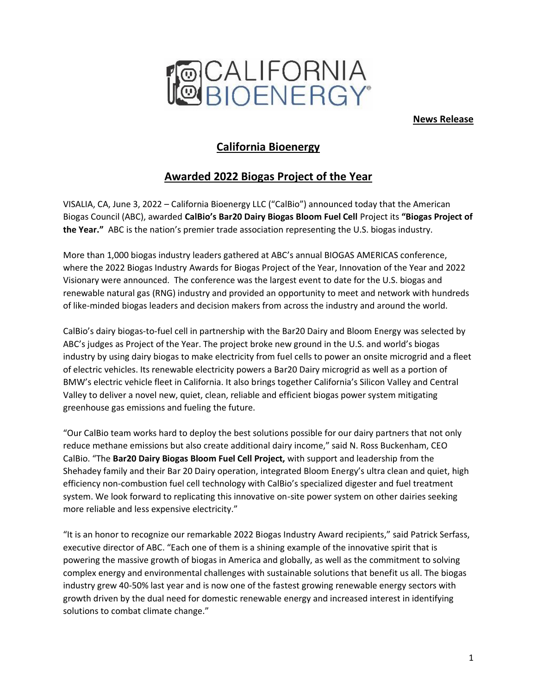

**News Release**

# **California Bioenergy**

# **Awarded 2022 Biogas Project of the Year**

VISALIA, CA, June 3, 2022 – California Bioenergy LLC ("CalBio") announced today that the American Biogas Council (ABC), awarded **CalBio's Bar20 Dairy Biogas Bloom Fuel Cell** Project its **"Biogas Project of the Year."** ABC is the nation's premier trade association representing the U.S. biogas industry.

More than 1,000 biogas industry leaders gathered at ABC's annual BIOGAS AMERICAS conference, where the 2022 Biogas Industry Awards for Biogas Project of the Year, Innovation of the Year and 2022 Visionary were announced. The conference was the largest event to date for the U.S. biogas and renewable natural gas (RNG) industry and provided an opportunity to meet and network with hundreds of like-minded biogas leaders and decision makers from across the industry and around the world.

CalBio's dairy biogas-to-fuel cell in partnership with the Bar20 Dairy and Bloom Energy was selected by ABC's judges as Project of the Year. The project broke new ground in the U.S. and world's biogas industry by using dairy biogas to make electricity from fuel cells to power an onsite microgrid and a fleet of electric vehicles. Its renewable electricity powers a Bar20 Dairy microgrid as well as a portion of BMW's electric vehicle fleet in California. It also brings together California's Silicon Valley and Central Valley to deliver a novel new, quiet, clean, reliable and efficient biogas power system mitigating greenhouse gas emissions and fueling the future.

"Our CalBio team works hard to deploy the best solutions possible for our dairy partners that not only reduce methane emissions but also create additional dairy income," said N. Ross Buckenham, CEO CalBio. "The **Bar20 Dairy Biogas Bloom Fuel Cell Project,** with support and leadership from the Shehadey family and their Bar 20 Dairy operation, integrated Bloom Energy's ultra clean and quiet, high efficiency non-combustion fuel cell technology with CalBio's specialized digester and fuel treatment system. We look forward to replicating this innovative on-site power system on other dairies seeking more reliable and less expensive electricity."

"It is an honor to recognize our remarkable 2022 Biogas Industry Award recipients," said Patrick Serfass, executive director of ABC. "Each one of them is a shining example of the innovative spirit that is powering the massive growth of biogas in America and globally, as well as the commitment to solving complex energy and environmental challenges with sustainable solutions that benefit us all. The biogas industry grew 40-50% last year and is now one of the fastest growing renewable energy sectors with growth driven by the dual need for domestic renewable energy and increased interest in identifying solutions to combat climate change."